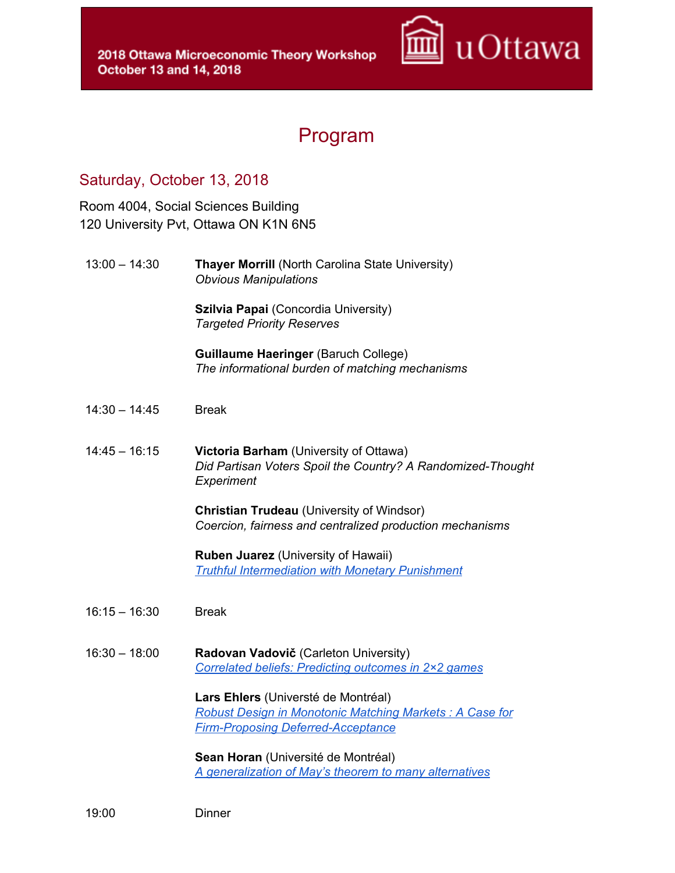

## Program

## Saturday, October 13, 2018

Room 4004, Social Sciences Building 120 University Pvt, Ottawa ON K1N 6N5

13:00 – 14:30 **Thayer Morrill** (North Carolina State University) *Obvious Manipulations*

> **Szilvia Papai** (Concordia University) *Targeted Priority Reserves*

**Guillaume Haeringer** (Baruch College) *The informational burden of matching mechanisms*

- 14:30 14:45 Break
- 14:45 16:15 **Victoria Barham** (University of Ottawa) *Did Partisan Voters Spoil the Country? A Randomized-Thought Experiment*

**Christian Trudeau** (University of Windsor) *Coercion, fairness and centralized production mechanisms*

**Ruben Juarez** (University of Hawaii) *Truthful [Intermediation](http://dosamobile.com/wp-content/uploads/2018/10/Ruben.pdf) with Monetary Punishment*

- 16:15 16:30 Break
- 16:30 18:00 **Radovan Vadovič** (Carleton University) *[Correlated](http://dosamobile.com/wp-content/uploads/2018/10/Rado.pdf) beliefs: Predicting outcomes in 2×2 games*

**Lars Ehlers** (Universté de Montréal) *Robust Design in [Monotonic](http://dosamobile.com/wp-content/uploads/2018/10/Lars.pdf) Matching Markets : A Case for Firm-Proposing [Deferred-Acceptance](http://dosamobile.com/wp-content/uploads/2018/10/Lars.pdf)*

**Sean Horan** (Université de Montréal) *A [generalization](http://dosamobile.com/wp-content/uploads/2018/10/Sean.pdf) of May's theorem to many alternatives*

19:00 Dinner